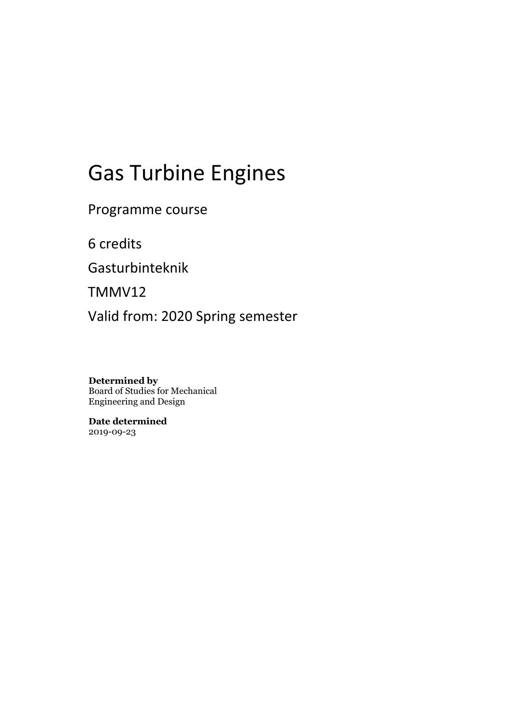# Gas Turbine Engines

Programme course

6 credits

Gasturbinteknik

TMMV12

Valid from: 2020 Spring semester

**Determined by** Board of Studies for Mechanical Engineering and Design

**Date determined** 2019-09-23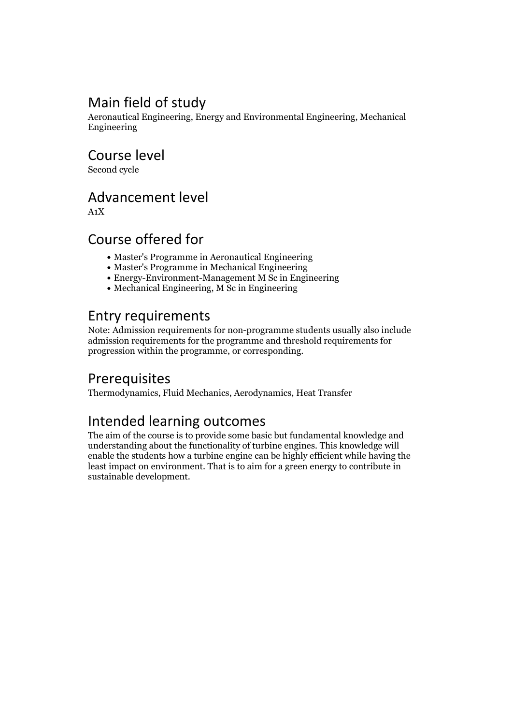# Main field of study

Aeronautical Engineering, Energy and Environmental Engineering, Mechanical Engineering

Course level

Second cycle

# Advancement level

A1X

# Course offered for

- Master's Programme in Aeronautical Engineering
- Master's Programme in Mechanical Engineering
- Energy-Environment-Management M Sc in Engineering
- Mechanical Engineering, M Sc in Engineering

# Entry requirements

Note: Admission requirements for non-programme students usually also include admission requirements for the programme and threshold requirements for progression within the programme, or corresponding.

### Prerequisites

Thermodynamics, Fluid Mechanics, Aerodynamics, Heat Transfer

# Intended learning outcomes

The aim of the course is to provide some basic but fundamental knowledge and understanding about the functionality of turbine engines. This knowledge will enable the students how a turbine engine can be highly efficient while having the least impact on environment. That is to aim for a green energy to contribute in sustainable development.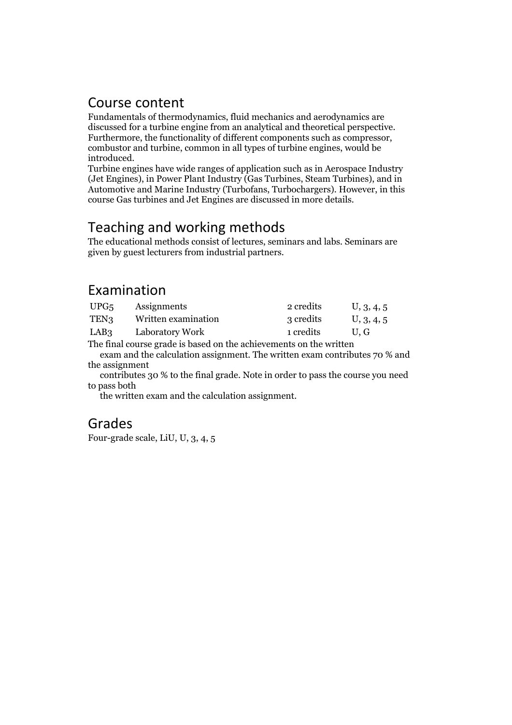### Course content

Fundamentals of thermodynamics, fluid mechanics and aerodynamics are discussed for a turbine engine from an analytical and theoretical perspective.<br>Furthermore, the functionality of different components such as compressor, combustor and turbine, common in all types of turbine engines, would

Turbine engines have wide ranges of application such as in Aerospace Industry (Jet Engines), in Power Plant Industry (Gas Turbines, Steam Turbines), and in Automotive and Marine Industry (Turbofans, Turbochargers). However, in this course Gas turbines and Jet Engines are discussed in more details.

# Teaching and working methods

The educational methods consist of lectures, seminars and labs. Seminars are given by guest lecturers from industrial partners.

# Examination

| UPG5      | Assignments         | 2 credits | U, 3, 4, 5 |  |
|-----------|---------------------|-----------|------------|--|
| TEN3      | Written examination | 3 credits | U, 3, 4, 5 |  |
| LAB3      | Laboratory Work     | 1 credits | U.G        |  |
| $m1$ $m1$ |                     |           |            |  |

The final course grade is based on the achievements on the written exam and the calculation assignment. The written exam contributes 70 % and the assignment

contributes 30 % to the final grade. Note in order to pass the course you need to pass both

the written exam and the calculation assignment.

### Grades

Four-grade scale, LiU, U, 3, 4, 5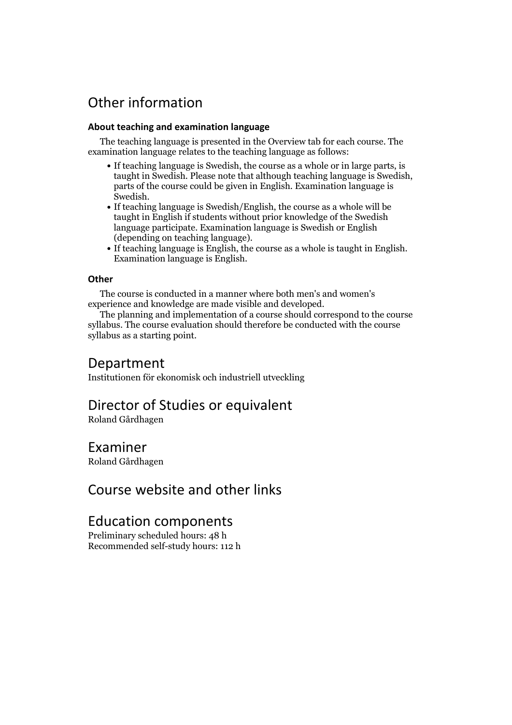# Other information

#### **About teaching and examination language**

The teaching language is presented in the Overview tab for each course. The examination language relates to the teaching language as follows:

- If teaching language is Swedish, the course as a whole or in large parts, is parts of the course could be given in English, Examination language is
- Swedish.<br>• If teaching language is Swedish/English, the course as a whole will be taught in English if students without prior knowledge of the Swedish language participate. Examination language is Swedish or English
- $\bullet$  If teaching language is English, the course as a whole is taught in English. Examination language is English.

#### **Other**

The course is conducted in a manner where both men's and women's

The planning and implementation of a course should correspond to the course syllabus. The course evaluation should therefore be conducted with the course syllabus as a starting point.

### Department

Institutionen för ekonomisk och industriell utveckling

### Director of Studies or equivalent

Roland Gårdhagen

### Examiner

Roland Gårdhagen

### Course website and other links

### Education components

Preliminary scheduled hours: 48 h Recommended self-study hours: 112 h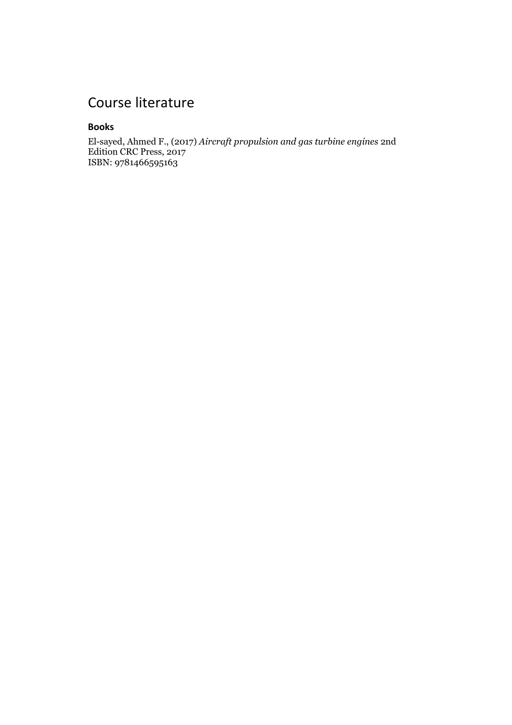# Course literature

#### **Books**

El-sayed, Ahmed F., (2017) *Aircraft propulsion and gas turbine engines* 2nd Edition CRC Press, 2017 ISBN: 9781466595163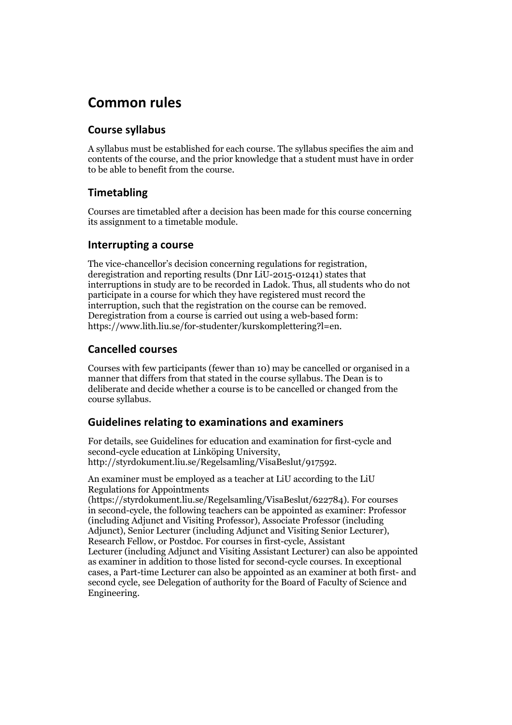# **Common rules**

### **Course syllabus**

A syllabus must be established for each course. The syllabus specifies the aim and contents of the course, and the prior knowledge that a student must have in order to be able to benefit from the course.

### **Timetabling**

Courses are timetabled after a decision has been made for this course concerning its assignment to a timetable module.

### **Interrupting a course**

The vice-chancellor's decision concerning regulations for registration, deregistration and reporting results (Dnr LiU-2015-01241) states that interruptions in study are to be recorded in Ladok. Thus, all students who do not participate in a course for which they have registered must record the interruption, such that the registration on the course can be removed. Deregistration from <sup>a</sup> course is carried outusing <sup>a</sup> web-based form: https://www.lith.liu.se/for-studenter/kurskomplettering?l=en.

### **Cancelled courses**

Courses with few participants (fewer than 10) may be cancelled or organised in a manner that differs from that stated in the course syllabus. The Dean is to deliberate and decide whether a course is to be cancelled or changed from the course syllabus.

### **Guidelines relatingto examinations and examiners**

For details, see Guidelines for education and examination for first-cycle and second-cycle education at Linköping University, http://styrdokument.liu.se/Regelsamling/VisaBeslut/917592.

An examiner must be employed as a teacher at LiU according to the LiU Regulations for Appointments

(https://styrdokument.liu.se/Regelsamling/VisaBeslut/622784). For courses in second-cycle, the following teachers can be appointed as examiner: Professor (including Adjunct and Visiting Professor), Associate Professor (including Adjunct), Senior Lecturer (including Adjunct and Visiting Senior Lecturer), Research Fellow, or Postdoc. For courses in first-cycle, Assistant Lecturer (including Adjunct and Visiting Assistant Lecturer) can also be appointed as examiner in addition to those listed for second-cycle courses. In exceptional cases, a Part-time Lecturer can also be appointed as an examiner at both first- and second cycle, see Delegation of authority for the Board of Faculty of Science and Engineering.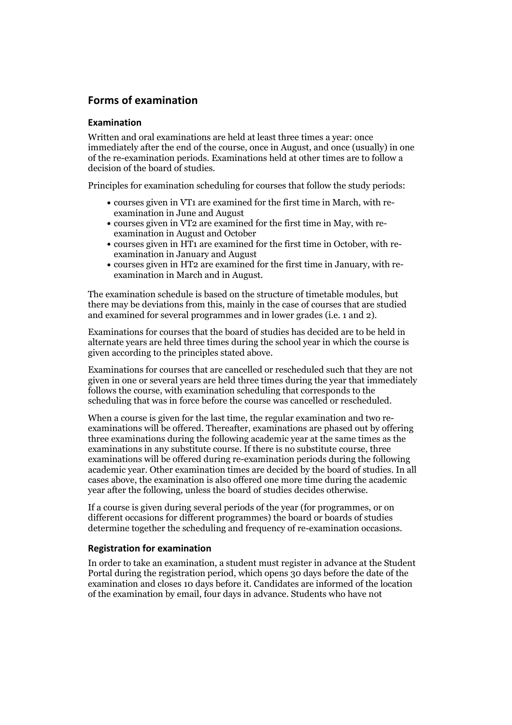### **Forms of examination**

#### **Examination**

Written and oral examinations are held at least three times a year: once immediately after the end of the course, once in August, and once (usually) in one of the re-examination periods. Examinations held at other times are to follow a decision of the board of studies.

Principles for examination scheduling for courses that follow the study periods:

- courses given in VT1 are examined for the first time in March, with re-examination in June and August
- courses given in VT2 are examined for the first time in May, with re-examination in August and October
- courses given in HT1 are examined for the first time in October, with re-examination in January and August
- courses given in HT2 are examined for the first time in January, with re-examination in March and in August.

The examination schedule is based on the structure of timetable modules, but there may be deviations from this, mainly in the case of courses that are studied and examined for several programmes and in lower grades (i.e. 1 and 2).

Examinations for courses that the board of studies has decided are to be held in alternate years are held three times during the school year in which the course is given according to the principles stated above.

Examinations for courses that are cancelled orrescheduled such that they are not given in one or several years are held three times during the year that immediately follows the course, with examination scheduling that corresponds to the scheduling that was in force before the course was cancelled or rescheduled.

When a course is given for the last time, the regular examination and two re-<br>examinations will be offered. Thereafter, examinations are phased out by offering three examinations during the following academic year at the same times as the examinations in any substitute course. If there is no substitute course, three examinations will be offered during re-examination periods during the following academic year. Other examination times are decided by the board of studies. In all cases above, the examination is also offered one more time during the academic year after the following, unless the board of studies decides otherwise.

If a course is given during several periods of the year (for programmes, or on different occasions for different programmes) the board or boards of studies determine together the scheduling and frequency of re-examination occasions.

#### **Registration for examination**

In order to take an examination, a student must register in advance at the Student Portal during the registration period, which opens 30 days before the date of the examination and closes 10 days before it. Candidates are informed of the location of the examination by email, four days in advance. Students who have not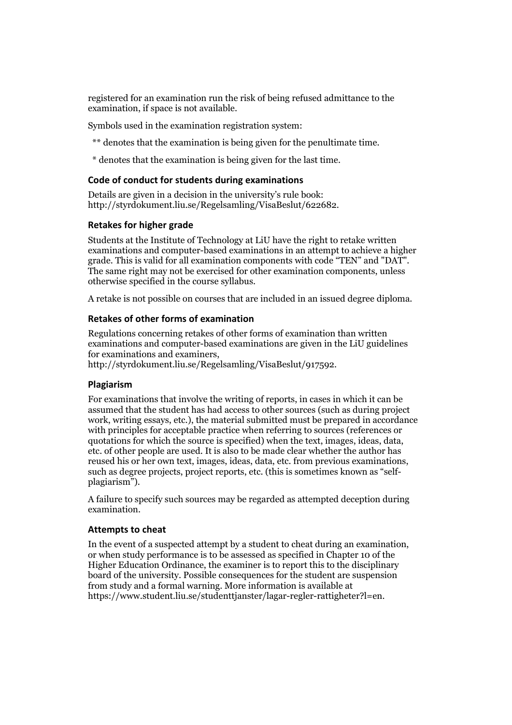registered for an examination run the risk of being refused admittance to the examination, if space is not available.

Symbols used in the examination registration system:

- \*\* denotes that the examination is being given for the penultimate time.
- \* denotes that the examination is being given for the last time.

#### **Code of conduct for students during examinations**

Details are given in a decision in the university's rule book: http://styrdokument.liu.se/Regelsamling/VisaBeslut/622682.

#### **Retakes for higher grade**

Students at the Institute of Technology at LiU have the right to retake written examinations and computer-based examinations in an attempt to achieve a higher grade. This is valid for all examination components with code "TEN" and "DAT". The same right may not be exercised for other examination components, unless otherwise specified in the course syllabus.

A retake is not possible on courses that are included in an issued degree diploma.

#### **Retakes of other forms of examination**

Regulations concerning retakes of other forms of examination than written examinations and computer-based examinations are given in the LiU guidelines

http://styrdokument.liu.se/Regelsamling/VisaBeslut/917592.

#### **Plagiarism**

For examinations that involve the writing of reports, in cases in which it can be assumed that the student has had access to other sources (such as during project work, writing essays, etc.), the material submitted must be prepared in accordance with principles for acceptable practice when referring to sources (references or quotations for which the source is specified) when the text, images, ideas, data,  $\vec{e}$  etc. of other people are used. It is also to be made clear whether the author has reused his or her own text, images, ideas, data, etc. from previous examinations, such as degree projects, project reports, etc. (this is sometimes known as "self-<br>plagiarism").

A failure to specify such sources may be regarded as attempted deception during examination.

#### **Attempts to cheat**

In the event of <sup>a</sup> suspected attempt by <sup>a</sup> student to cheat during an examination, or when study performance is to be assessed as specified in Chapter <sup>10</sup> of the Higher Education Ordinance, the examiner is to report this to the disciplinary board of the university. Possible consequences for the student are suspension from study and a formal warning. More information is available at https://www.student.liu.se/studenttjanster/lagar-regler-rattigheter?l=en.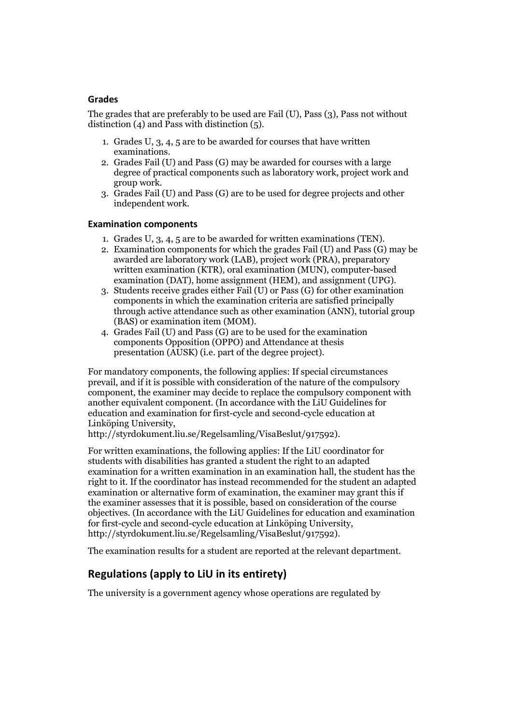#### **Grades**

The grades that are preferably to be used are Fail (U), Pass (3), Pass not without distinction  $(4)$  and Pass with distinction  $(5)$ .

- 1. Grades U, 3, 4, 5 are to be awarded for courses that have written
- examinations. 2. Grades Fail (U) and Pass (G) may be awarded for courses with <sup>a</sup> large degree of practical components such as laboratory work, project work and group work. 3. Grades Fail (U) and Pass (G) are to be used for degree projects and other
- independent work.

#### **Examination components**

- 
- 1. Grades U, 3, 4, <sup>5</sup> are to be awarded for written examinations (TEN). 2. Examination components for which the grades Fail (U) and Pass (G) may be awarded are laboratory work (LAB), project work (PRA), preparatory written examination (KTR), oral examination (MUN), computer-based
- examination (DAT), home assignment (HEM), and assignment (UPG). 3. Students receive grades either Fail (U) or Pass (G) for other examination components in which the examination criteria are satisfied principally through active attendance such as other examination (ANN), tutorial group
- (BAS) or examination item (MOM). 4. Grades Fail (U) and Pass (G) are to be used for the examination components Opposition (OPPO) and Attendance at thesis presentation (AUSK) (i.e. part of the degree project).

For mandatory components, the following applies: If special circumstances prevail, and if it is possible with consideration of the nature of the compulsory component, the examiner may decide to replace the compulsory component with another equivalent component. (In accordance with the LiU Guidelines for education and examination for first-cycle and second-cycle education at Linköping University, http://styrdokument.liu.se/Regelsamling/VisaBeslut/917592).

For written examinations, the following applies: If the LiU coordinator for students with disabilities has granted a student the right to an adapted examination for a written examination in an examination hall, the student has the right to it. If the coordinator has instead recommended for the student an adapted examination or alternative form of examination, the examiner may grant this if the examiner assesses that it is possible, based on consideration of the course objectives. (In accordance with the LiU Guidelines for education and examination for first-cycle and second-cycle education at Linköping University, http://styrdokument.liu.se/Regelsamling/VisaBeslut/917592).

The examination results for a student are reported at the relevant department.

### **Regulations (applyto LiU in its entirety)**

The university is a government agency whose operations are regulated by